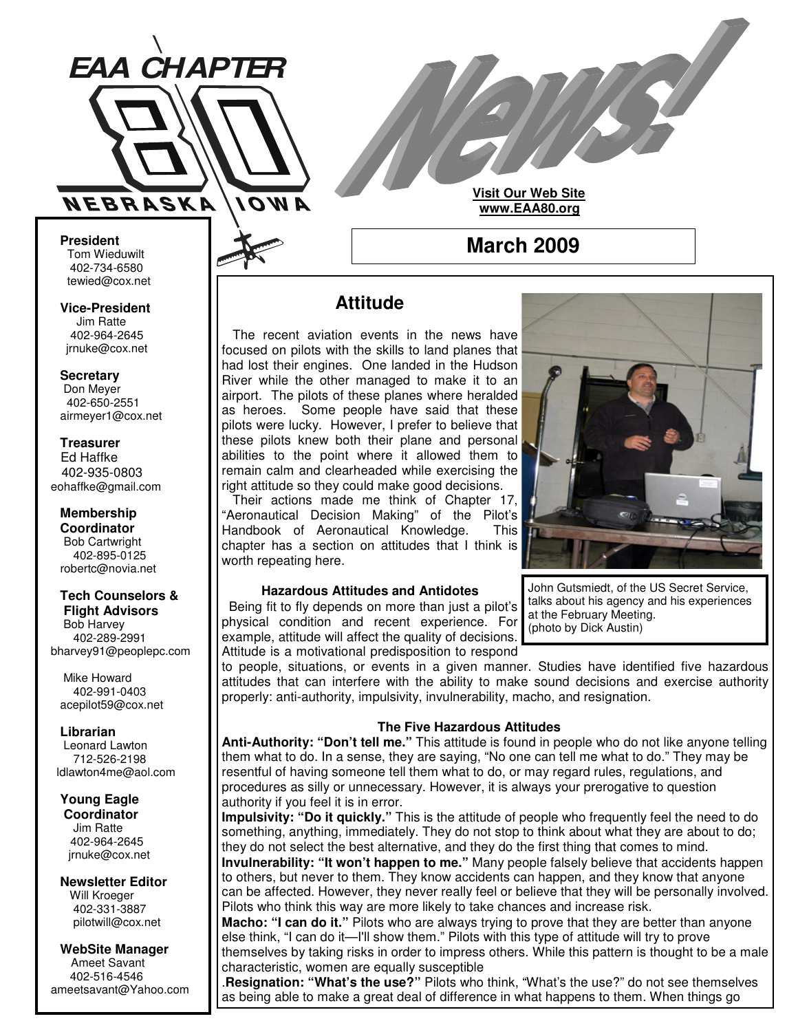

**Visit Our Web Site www.EAA80.org**

## **March 2009**

**President** Tom Wieduwilt 402-734-6580 tewied@cox.net

**Vice-President** Jim Ratte 402-964-2645 jrnuke@cox.net

**Secretary** Don Meyer 402-650-2551 airmeyer1@cox.net

**Treasurer** Ed Haffke 402-935-0803 eohaffke@gmail.com

**Membership Coordinator** Bob Cartwright 402-895-0125 robertc@novia.net

### **Tech Counselors &**

**Flight Advisors** Bob Harvey 402-289-2991 bharvey91@peoplepc.com

Mike Howard 402-991-0403 acepilot59@cox.net

**Librarian** Leonard Lawton 712-526-2198 ldlawton4me@aol.com

**Young Eagle Coordinator** Jim Ratte 402-964-2645 jrnuke@cox.net

**Newsletter Editor** Will Kroeger 402-331-3887 pilotwill@cox.net

**WebSite Manager** Ameet Savant 402-516-4546 ameetsavant@Yahoo.com

## **Attitude**

The recent aviation events in the news have focused on pilots with the skills to land planes that had lost their engines. One landed in the Hudson River while the other managed to make it to an airport. The pilots of these planes where heralded as heroes. Some people have said that these pilots were lucky. However, I prefer to believe that these pilots knew both their plane and personal abilities to the point where it allowed them to remain calm and clearheaded while exercising the right attitude so they could make good decisions.

Their actions made me think of Chapter 17, "Aeronautical Decision Making" of the Pilot's Handbook of Aeronautical Knowledge. chapter has a section on attitudes that I think is worth repeating here.

#### **Hazardous Attitudes and Antidotes**

Being fit to fly depends on more than just a pilot's physical condition and recent experience. For example, attitude will affect the quality of decisions. Attitude is a motivational predisposition to respond



John Gutsmiedt, of the US Secret Service, talks about his agency and his experiences at the February Meeting. (photo by Dick Austin)

to people, situations, or events in a given manner. Studies have identified five hazardous attitudes that can interfere with the ability to make sound decisions and exercise authority properly: anti-authority, impulsivity, invulnerability, macho, and resignation.

#### **The Five Hazardous Attitudes**

**Anti-Authority: "Don't tell me."** This attitude is found in people who do not like anyone telling them what to do. In a sense, they are saying, "No one can tell me what to do." They may be resentful of having someone tell them what to do, or may regard rules, regulations, and procedures as silly or unnecessary. However, it is always your prerogative to question authority if you feel it is in error.

**Impulsivity: "Do it quickly."** This is the attitude of people who frequently feel the need to do something, anything, immediately. They do not stop to think about what they are about to do; they do not select the best alternative, and they do the first thing that comes to mind. **Invulnerability: "It won't happen to me."** Many people falsely believe that accidents happen

to others, but never to them. They know accidents can happen, and they know that anyone can be affected. However, they never really feel or believe that they will be personally involved. Pilots who think this way are more likely to take chances and increase risk.

**Macho: "I can do it."** Pilots who are always trying to prove that they are better than anyone else think, "I can do it—I'll show them." Pilots with this type of attitude will try to prove themselves by taking risks in order to impress others. While this pattern is thought to be a male characteristic, women are equally susceptible

.**Resignation: "What's the use?"** Pilots who think, "What's the use?" do not see themselves as being able to make a great deal of difference in what happens to them. When things go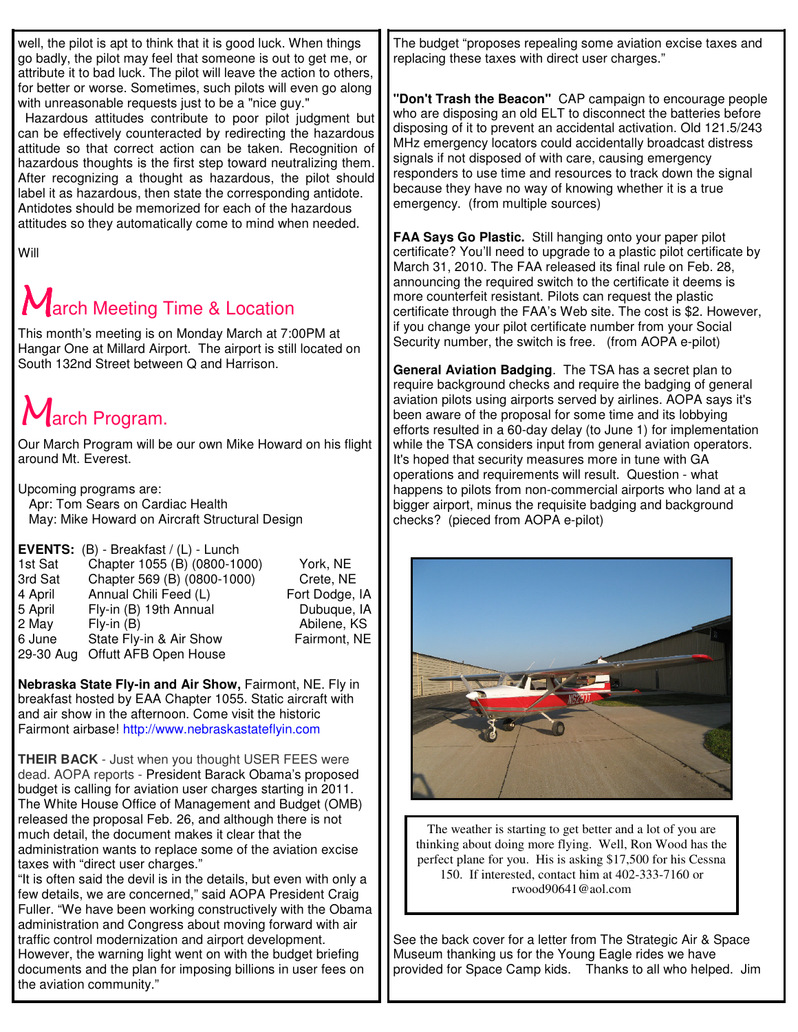well, the pilot is apt to think that it is good luck. When things go badly, the pilot may feel that someone is out to get me, or attribute it to bad luck. The pilot will leave the action to others, for better or worse. Sometimes, such pilots will even go along with unreasonable requests just to be a "nice guy."

Hazardous attitudes contribute to poor pilot judgment but can be effectively counteracted by redirecting the hazardous attitude so that correct action can be taken. Recognition of hazardous thoughts is the first step toward neutralizing them. After recognizing a thought as hazardous, the pilot should label it as hazardous, then state the corresponding antidote. Antidotes should be memorized for each of the hazardous attitudes so they automatically come to mind when needed.

Will

## $M$ arch Meeting Time & Location

This month's meeting is on Monday March at 7:00PM at Hangar One at Millard Airport. The airport is still located on South 132nd Street between Q and Harrison.

# $M$ arch Program.

Our March Program will be our own Mike Howard on his flight around Mt. Everest.

Upcoming programs are: Apr: Tom Sears on Cardiac Health May: Mike Howard on Aircraft Structural Design

**EVENTS:** (B) - Breakfast / (L) - Lunch

| Chapter 1055 (B) (0800-1000) | York, NE       |
|------------------------------|----------------|
| Chapter 569 (B) (0800-1000)  | Crete, NE      |
| Annual Chili Feed (L)        | Fort Dodge, IA |
| Fly-in (B) 19th Annual       | Dubuque, IA    |
| $Fly-in(B)$                  | Abilene, KS    |
| State Fly-in & Air Show      | Fairmont, NE   |
| Offutt AFB Open House        |                |
|                              |                |

**Nebraska State Fly-in and Air Show,** Fairmont, NE. Fly in breakfast hosted by EAA Chapter 1055. Static aircraft with and air show in the afternoon. Come visit the historic Fairmont airbase! http://www.nebraskastateflyin.com

**THEIR BACK** - Just when you thought USER FEES were dead. AOPA reports - President Barack Obama's proposed budget is calling for aviation user charges starting in 2011. The White House Office of Management and Budget (OMB) released the proposal Feb. 26, and although there is not much detail, the document makes it clear that the administration wants to replace some of the aviation excise taxes with "direct user charges."

"It is often said the devil is in the details, but even with only a few details, we are concerned," said AOPA President Craig Fuller. "We have been working constructively with the Obama administration and Congress about moving forward with air traffic control modernization and airport development. However, the warning light went on with the budget briefing documents and the plan for imposing billions in user fees on the aviation community."

The budget "proposes repealing some aviation excise taxes and replacing these taxes with direct user charges."

**"Don't Trash the Beacon"** CAP campaign to encourage people who are disposing an old ELT to disconnect the batteries before disposing of it to prevent an accidental activation. Old 121.5/243 MHz emergency locators could accidentally broadcast distress signals if not disposed of with care, causing emergency responders to use time and resources to track down the signal because they have no way of knowing whether it is a true emergency. (from multiple sources)

**FAA Says Go Plastic.** Still hanging onto your paper pilot certificate? You'll need to upgrade to a plastic pilot certificate by March 31, 2010. The FAA released its final rule on Feb. 28, announcing the required switch to the certificate it deems is more counterfeit resistant. Pilots can request the plastic certificate through the FAA's Web site. The cost is \$2. However, if you change your pilot certificate number from your Social Security number, the switch is free. (from AOPA e-pilot)

**General Aviation Badging**. The TSA has a secret plan to require background checks and require the badging of general aviation pilots using airports served by airlines. AOPA says it's been aware of the proposal for some time and its lobbying efforts resulted in a 60-day delay (to June 1) for implementation while the TSA considers input from general aviation operators. It's hoped that security measures more in tune with GA operations and requirements will result. Question - what happens to pilots from non-commercial airports who land at a bigger airport, minus the requisite badging and background checks? (pieced from AOPA e-pilot)



The weather is starting to get better and a lot of you are thinking about doing more flying. Well, Ron Wood has the perfect plane for you. His is asking \$17,500 for his Cessna 150. If interested, contact him at 402-333-7160 or rwood90641@aol.com

See the back cover for a letter from The Strategic Air & Space Museum thanking us for the Young Eagle rides we have provided for Space Camp kids. Thanks to all who helped. Jim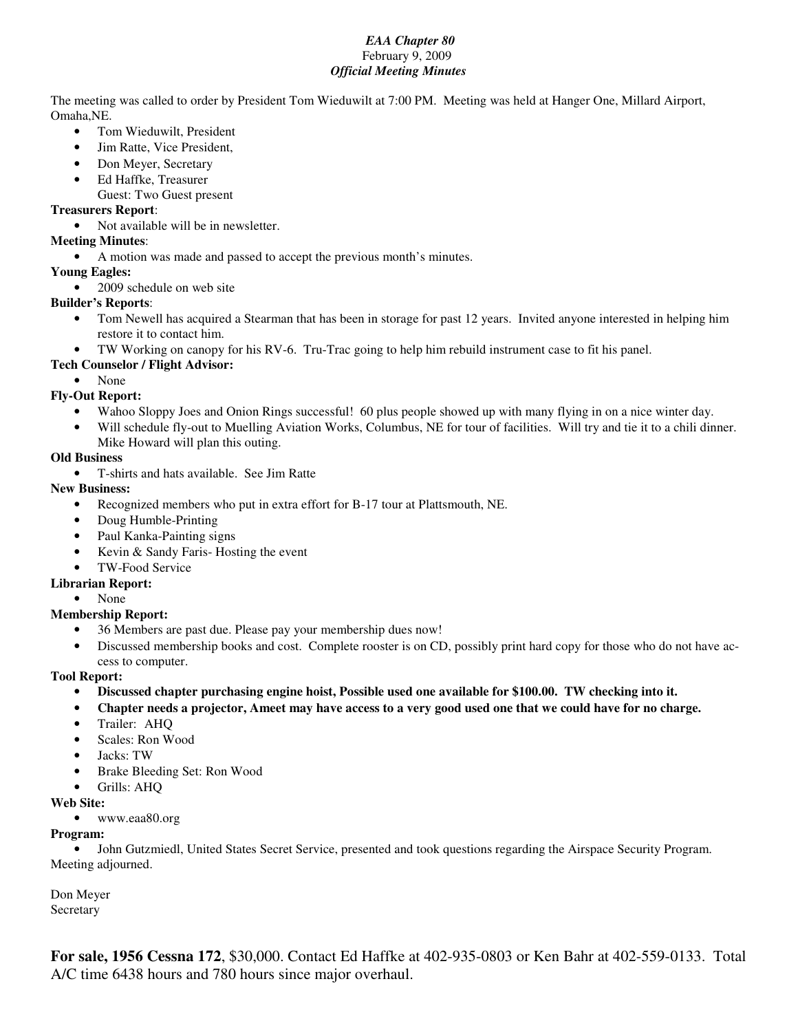#### *EAA Chapter 80* February 9, 2009 *Official Meeting Minutes*

The meeting was called to order by President Tom Wieduwilt at 7:00 PM. Meeting was held at Hanger One, Millard Airport, Omaha,NE.

- Tom Wieduwilt, President
- Jim Ratte, Vice President,
- Don Meyer, Secretary
- Ed Haffke, Treasurer

Guest: Two Guest present

**Treasurers Report**:

• Not available will be in newsletter.

#### **Meeting Minutes**:

• A motion was made and passed to accept the previous month's minutes.

#### **Young Eagles:**

• 2009 schedule on web site

#### **Builder's Reports**:

- Tom Newell has acquired a Stearman that has been in storage for past 12 years. Invited anyone interested in helping him restore it to contact him.
- TW Working on canopy for his RV-6. Tru-Trac going to help him rebuild instrument case to fit his panel.

#### **Tech Counselor / Flight Advisor:**

• None

#### **Fly-Out Report:**

- Wahoo Sloppy Joes and Onion Rings successful! 60 plus people showed up with many flying in on a nice winter day.
- Will schedule fly-out to Muelling Aviation Works, Columbus, NE for tour of facilities. Will try and tie it to a chili dinner. Mike Howard will plan this outing.

#### **Old Business**

- T-shirts and hats available. See Jim Ratte
- **New Business:**
	- Recognized members who put in extra effort for B-17 tour at Plattsmouth, NE.
	- Doug Humble-Printing
	- Paul Kanka-Painting signs
	- Kevin & Sandy Faris- Hosting the event
	- TW-Food Service

#### **Librarian Report:**

• None

#### **Membership Report:**

- 36 Members are past due. Please pay your membership dues now!
- Discussed membership books and cost. Complete rooster is on CD, possibly print hard copy for those who do not have access to computer.

#### **Tool Report:**

- **Discussed chapter purchasing engine hoist, Possible used one available for \$100.00. TW checking into it.**
- Chapter needs a projector, Ameet may have access to a very good used one that we could have for no charge.
- Trailer: AHQ
- Scales: Ron Wood
- Jacks: TW
- Brake Bleeding Set: Ron Wood
- Grills: AHQ

#### **Web Site:**

• www.eaa80.org

#### **Program:**

• John Gutzmiedl, United States Secret Service, presented and took questions regarding the Airspace Security Program. Meeting adjourned.

Don Meyer Secretary

**For sale, 1956 Cessna 172**, \$30,000. Contact Ed Haffke at 402-935-0803 or Ken Bahr at 402-559-0133. Total A/C time 6438 hours and 780 hours since major overhaul.